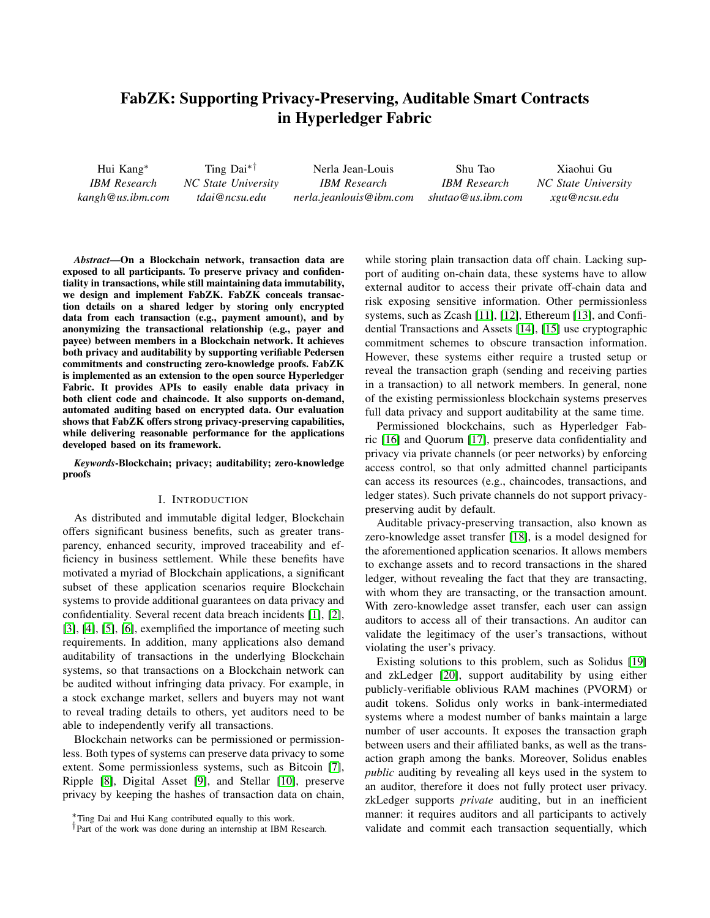# FabZK: Supporting Privacy-Preserving, Auditable Smart Contracts in Hyperledger Fabric

Hui Kang<sup>∗</sup> *IBM Research kangh@us.ibm.com* Ting Dai∗† *NC State University tdai@ncsu.edu* Nerla Jean-Louis *IBM Research nerla.jeanlouis@ibm.com* Shu Tao *IBM Research shutao@us.ibm.com* Xiaohui Gu *NC State University xgu@ncsu.edu*

*Abstract*—On a Blockchain network, transaction data are exposed to all participants. To preserve privacy and confidentiality in transactions, while still maintaining data immutability, we design and implement FabZK. FabZK conceals transaction details on a shared ledger by storing only encrypted data from each transaction (e.g., payment amount), and by anonymizing the transactional relationship (e.g., payer and payee) between members in a Blockchain network. It achieves both privacy and auditability by supporting verifiable Pedersen commitments and constructing zero-knowledge proofs. FabZK is implemented as an extension to the open source Hyperledger Fabric. It provides APIs to easily enable data privacy in both client code and chaincode. It also supports on-demand, automated auditing based on encrypted data. Our evaluation shows that FabZK offers strong privacy-preserving capabilities, while delivering reasonable performance for the applications developed based on its framework.

*Keywords*-Blockchain; privacy; auditability; zero-knowledge proofs

#### I. INTRODUCTION

As distributed and immutable digital ledger, Blockchain offers significant business benefits, such as greater transparency, enhanced security, improved traceability and efficiency in business settlement. While these benefits have motivated a myriad of Blockchain applications, a significant subset of these application scenarios require Blockchain systems to provide additional guarantees on data privacy and confidentiality. Several recent data breach incidents [\[1\]](#page-10-0), [\[2\]](#page-10-1), [\[3\]](#page-10-2), [\[4\]](#page-10-3), [\[5\]](#page-10-4), [\[6\]](#page-10-5), exemplified the importance of meeting such requirements. In addition, many applications also demand auditability of transactions in the underlying Blockchain systems, so that transactions on a Blockchain network can be audited without infringing data privacy. For example, in a stock exchange market, sellers and buyers may not want to reveal trading details to others, yet auditors need to be able to independently verify all transactions.

Blockchain networks can be permissioned or permissionless. Both types of systems can preserve data privacy to some extent. Some permissionless systems, such as Bitcoin [\[7\]](#page-10-6), Ripple [\[8\]](#page-10-7), Digital Asset [\[9\]](#page-10-8), and Stellar [\[10\]](#page-10-9), preserve privacy by keeping the hashes of transaction data on chain, while storing plain transaction data off chain. Lacking support of auditing on-chain data, these systems have to allow external auditor to access their private off-chain data and risk exposing sensitive information. Other permissionless systems, such as Zcash [\[11\]](#page-10-10), [\[12\]](#page-11-0), Ethereum [\[13\]](#page-11-1), and Confidential Transactions and Assets [\[14\]](#page-11-2), [\[15\]](#page-11-3) use cryptographic commitment schemes to obscure transaction information. However, these systems either require a trusted setup or reveal the transaction graph (sending and receiving parties in a transaction) to all network members. In general, none of the existing permissionless blockchain systems preserves full data privacy and support auditability at the same time.

Permissioned blockchains, such as Hyperledger Fabric [\[16\]](#page-11-4) and Quorum [\[17\]](#page-11-5), preserve data confidentiality and privacy via private channels (or peer networks) by enforcing access control, so that only admitted channel participants can access its resources (e.g., chaincodes, transactions, and ledger states). Such private channels do not support privacypreserving audit by default.

Auditable privacy-preserving transaction, also known as zero-knowledge asset transfer [\[18\]](#page-11-6), is a model designed for the aforementioned application scenarios. It allows members to exchange assets and to record transactions in the shared ledger, without revealing the fact that they are transacting, with whom they are transacting, or the transaction amount. With zero-knowledge asset transfer, each user can assign auditors to access all of their transactions. An auditor can validate the legitimacy of the user's transactions, without violating the user's privacy.

Existing solutions to this problem, such as Solidus [\[19\]](#page-11-7) and zkLedger [\[20\]](#page-11-8), support auditability by using either publicly-verifiable oblivious RAM machines (PVORM) or audit tokens. Solidus only works in bank-intermediated systems where a modest number of banks maintain a large number of user accounts. It exposes the transaction graph between users and their affiliated banks, as well as the transaction graph among the banks. Moreover, Solidus enables *public* auditing by revealing all keys used in the system to an auditor, therefore it does not fully protect user privacy. zkLedger supports *private* auditing, but in an inefficient manner: it requires auditors and all participants to actively validate and commit each transaction sequentially, which

<sup>∗</sup>Ting Dai and Hui Kang contributed equally to this work.

<sup>†</sup>Part of the work was done during an internship at IBM Research.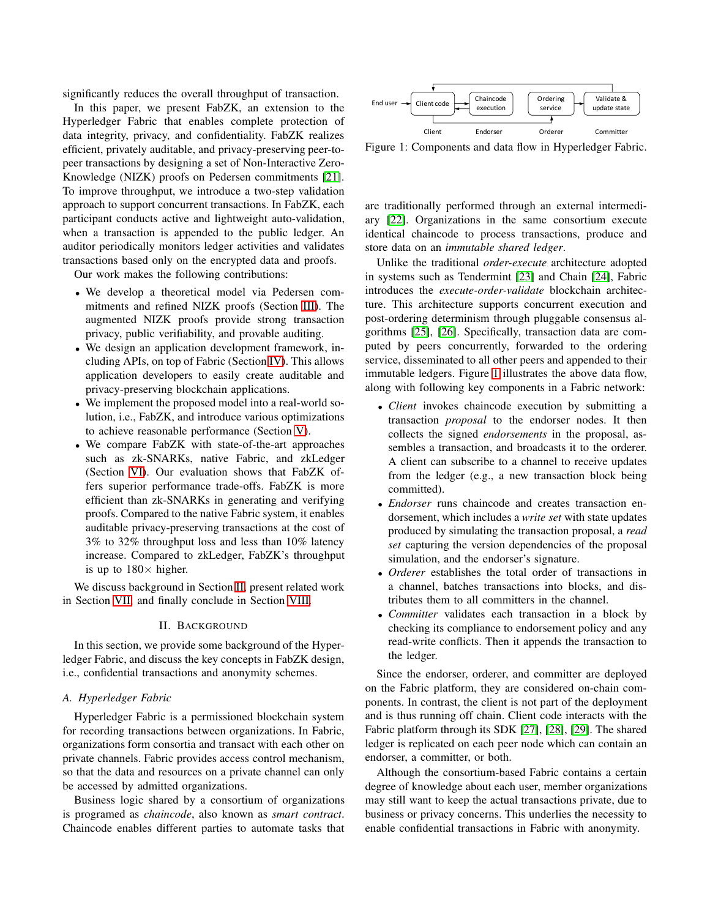significantly reduces the overall throughput of transaction.

In this paper, we present FabZK, an extension to the Hyperledger Fabric that enables complete protection of data integrity, privacy, and confidentiality. FabZK realizes efficient, privately auditable, and privacy-preserving peer-topeer transactions by designing a set of Non-Interactive Zero-Knowledge (NIZK) proofs on Pedersen commitments [\[21\]](#page-11-9). To improve throughput, we introduce a two-step validation approach to support concurrent transactions. In FabZK, each participant conducts active and lightweight auto-validation, when a transaction is appended to the public ledger. An auditor periodically monitors ledger activities and validates transactions based only on the encrypted data and proofs.

Our work makes the following contributions:

- We develop a theoretical model via Pedersen commitments and refined NIZK proofs (Section [III\)](#page-2-0). The augmented NIZK proofs provide strong transaction privacy, public verifiability, and provable auditing.
- We design an application development framework, including APIs, on top of Fabric (Section [IV\)](#page-4-0). This allows application developers to easily create auditable and privacy-preserving blockchain applications.
- We implement the proposed model into a real-world solution, i.e., FabZK, and introduce various optimizations to achieve reasonable performance (Section [V\)](#page-5-0).
- We compare FabZK with state-of-the-art approaches such as zk-SNARKs, native Fabric, and zkLedger (Section [VI\)](#page-7-0). Our evaluation shows that FabZK offers superior performance trade-offs. FabZK is more efficient than zk-SNARKs in generating and verifying proofs. Compared to the native Fabric system, it enables auditable privacy-preserving transactions at the cost of 3% to 32% throughput loss and less than 10% latency increase. Compared to zkLedger, FabZK's throughput is up to  $180\times$  higher.

<span id="page-1-0"></span>We discuss background in Section [II,](#page-1-0) present related work in Section [VII,](#page-9-0) and finally conclude in Section [VIII.](#page-9-1)

#### II. BACKGROUND

In this section, we provide some background of the Hyperledger Fabric, and discuss the key concepts in FabZK design, i.e., confidential transactions and anonymity schemes.

## *A. Hyperledger Fabric*

Hyperledger Fabric is a permissioned blockchain system for recording transactions between organizations. In Fabric, organizations form consortia and transact with each other on private channels. Fabric provides access control mechanism, so that the data and resources on a private channel can only be accessed by admitted organizations.

Business logic shared by a consortium of organizations is programed as *chaincode*, also known as *smart contract*. Chaincode enables different parties to automate tasks that

<span id="page-1-1"></span>

Figure 1: Components and data flow in Hyperledger Fabric.

are traditionally performed through an external intermediary [\[22\]](#page-11-10). Organizations in the same consortium execute identical chaincode to process transactions, produce and store data on an *immutable shared ledger*.

Unlike the traditional *order-execute* architecture adopted in systems such as Tendermint [\[23\]](#page-11-11) and Chain [\[24\]](#page-11-12), Fabric introduces the *execute-order-validate* blockchain architecture. This architecture supports concurrent execution and post-ordering determinism through pluggable consensus algorithms [\[25\]](#page-11-13), [\[26\]](#page-11-14). Specifically, transaction data are computed by peers concurrently, forwarded to the ordering service, disseminated to all other peers and appended to their immutable ledgers. Figure [1](#page-1-1) illustrates the above data flow, along with following key components in a Fabric network:

- *Client* invokes chaincode execution by submitting a transaction *proposal* to the endorser nodes. It then collects the signed *endorsements* in the proposal, assembles a transaction, and broadcasts it to the orderer. A client can subscribe to a channel to receive updates from the ledger (e.g., a new transaction block being committed).
- *Endorser* runs chaincode and creates transaction endorsement, which includes a *write set* with state updates produced by simulating the transaction proposal, a *read set* capturing the version dependencies of the proposal simulation, and the endorser's signature.
- *Orderer* establishes the total order of transactions in a channel, batches transactions into blocks, and distributes them to all committers in the channel.
- *Committer* validates each transaction in a block by checking its compliance to endorsement policy and any read-write conflicts. Then it appends the transaction to the ledger.

Since the endorser, orderer, and committer are deployed on the Fabric platform, they are considered on-chain components. In contrast, the client is not part of the deployment and is thus running off chain. Client code interacts with the Fabric platform through its SDK [\[27\]](#page-11-15), [\[28\]](#page-11-16), [\[29\]](#page-11-17). The shared ledger is replicated on each peer node which can contain an endorser, a committer, or both.

Although the consortium-based Fabric contains a certain degree of knowledge about each user, member organizations may still want to keep the actual transactions private, due to business or privacy concerns. This underlies the necessity to enable confidential transactions in Fabric with anonymity.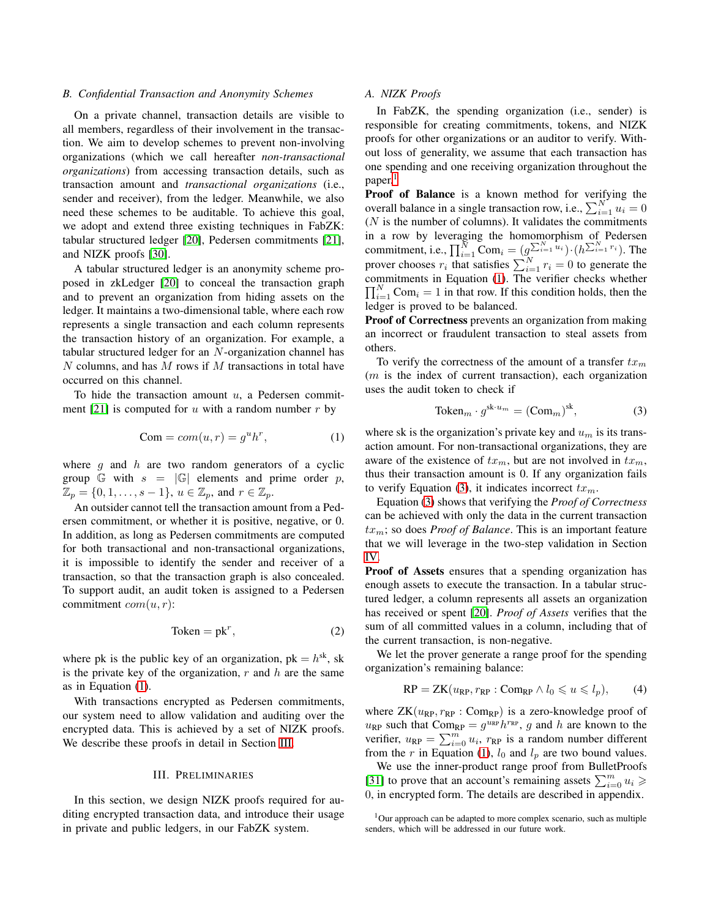## *B. Confidential Transaction and Anonymity Schemes*

On a private channel, transaction details are visible to all members, regardless of their involvement in the transaction. We aim to develop schemes to prevent non-involving organizations (which we call hereafter *non-transactional organizations*) from accessing transaction details, such as transaction amount and *transactional organizations* (i.e., sender and receiver), from the ledger. Meanwhile, we also need these schemes to be auditable. To achieve this goal, we adopt and extend three existing techniques in FabZK: tabular structured ledger [\[20\]](#page-11-8), Pedersen commitments [\[21\]](#page-11-9), and NIZK proofs [\[30\]](#page-11-18).

A tabular structured ledger is an anonymity scheme proposed in zkLedger [\[20\]](#page-11-8) to conceal the transaction graph and to prevent an organization from hiding assets on the ledger. It maintains a two-dimensional table, where each row represents a single transaction and each column represents the transaction history of an organization. For example, a tabular structured ledger for an N-organization channel has  $N$  columns, and has  $M$  rows if  $M$  transactions in total have occurred on this channel.

To hide the transaction amount  $u$ , a Pedersen commit-ment [\[21\]](#page-11-9) is computed for u with a random number r by

$$
Com = com(u, r) = guhr,
$$
 (1)

where  $g$  and  $h$  are two random generators of a cyclic group G with  $s = |\mathbb{G}|$  elements and prime order p,  $\mathbb{Z}_p = \{0, 1, \ldots, s-1\}, u \in \mathbb{Z}_p$ , and  $r \in \mathbb{Z}_p$ .

An outsider cannot tell the transaction amount from a Pedersen commitment, or whether it is positive, negative, or 0. In addition, as long as Pedersen commitments are computed for both transactional and non-transactional organizations, it is impossible to identify the sender and receiver of a transaction, so that the transaction graph is also concealed. To support audit, an audit token is assigned to a Pedersen commitment  $com(u, r)$ :

$$
Token = pk^r,
$$
 (2)

where pk is the public key of an organization,  $pk = h^{sk}$ , sk is the private key of the organization,  $r$  and  $h$  are the same as in Equation [\(1\)](#page-2-1).

With transactions encrypted as Pedersen commitments, our system need to allow validation and auditing over the encrypted data. This is achieved by a set of NIZK proofs. We describe these proofs in detail in Section [III.](#page-2-0)

#### III. PRELIMINARIES

<span id="page-2-0"></span>In this section, we design NIZK proofs required for auditing encrypted transaction data, and introduce their usage in private and public ledgers, in our FabZK system.

## <span id="page-2-5"></span>*A. NIZK Proofs*

In FabZK, the spending organization (i.e., sender) is responsible for creating commitments, tokens, and NIZK proofs for other organizations or an auditor to verify. Without loss of generality, we assume that each transaction has one spending and one receiving organization throughout the paper.<sup>[1](#page-2-2)</sup>

**Proof of Balance** is a known method for verifying the overall balance in a single transaction row, i.e.,  $\sum_{i=1}^{N} u_i = 0$  $(N$  is the number of columns). It validates the commitments in a row by leveraging the homomorphism of Pedersen commitment, i.e.,  $\prod_{i=1}^{N}$  Com<sub>i</sub> =  $(g_{\lambda_i}^{\sum_{i=1}^{N} u_i}) \cdot (h^{\sum_{i=1}^{N} r_i})$ . The prover chooses  $r_i$  that satisfies  $\sum_{i=1}^{N} r_i = 0$  to generate the commitments in Equation [\(1\)](#page-2-1). The verifier checks whether  $\prod_{i=1}^{N}$  Com<sub>i</sub> = 1 in that row. If this condition holds, then the ledger is proved to be balanced.

Proof of Correctness prevents an organization from making an incorrect or fraudulent transaction to steal assets from others.

To verify the correctness of the amount of a transfer  $tx_m$  $(m)$  is the index of current transaction), each organization uses the audit token to check if

<span id="page-2-3"></span>
$$
\text{Token}_m \cdot g^{\text{sk}\cdot u_m} = (\text{Com}_m)^{\text{sk}},\tag{3}
$$

<span id="page-2-1"></span>where sk is the organization's private key and  $u_m$  is its transaction amount. For non-transactional organizations, they are aware of the existence of  $tx_m$ , but are not involved in  $tx_m$ , thus their transaction amount is 0. If any organization fails to verify Equation [\(3\)](#page-2-3), it indicates incorrect  $tx_m$ .

Equation [\(3\)](#page-2-3) shows that verifying the *Proof of Correctness* can be achieved with only the data in the current transaction  $tx_m$ ; so does *Proof of Balance*. This is an important feature that we will leverage in the two-step validation in Section [IV.](#page-4-0)

Proof of Assets ensures that a spending organization has enough assets to execute the transaction. In a tabular structured ledger, a column represents all assets an organization has received or spent [\[20\]](#page-11-8). *Proof of Assets* verifies that the sum of all committed values in a column, including that of the current transaction, is non-negative.

We let the prover generate a range proof for the spending organization's remaining balance:

<span id="page-2-4"></span>
$$
RP = ZK(u_{RP}, r_{RP} : \text{Comp}_{RP} \land l_0 \leq u \leq l_p), \tag{4}
$$

where  $ZK(u_{RP}, r_{RP} : Comp)$  is a zero-knowledge proof of  $u_{RP}$  such that  $\text{Com}_{RP} = g^{u_{RP}} h^{r_{RP}}$ , g and h are known to the verifier,  $u_{RP} = \sum_{i=0}^{m} u_i$ ,  $r_{RP}$  is a random number different from the r in Equation [\(1\)](#page-2-1),  $l_0$  and  $l_p$  are two bound values.

We use the inner-product range proof from BulletProofs [\[31\]](#page-11-19) to prove that an account's remaining assets  $\sum_{i=0}^{m} u_i \geq$ 0, in encrypted form. The details are described in appendix.

<span id="page-2-2"></span> $1$ Our approach can be adapted to more complex scenario, such as multiple senders, which will be addressed in our future work.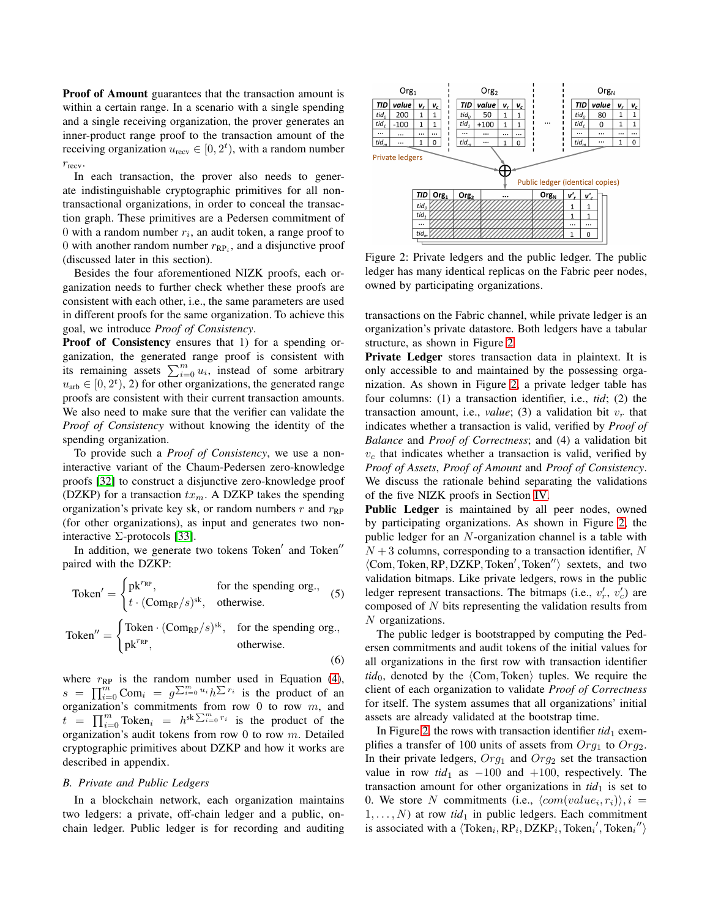Proof of Amount guarantees that the transaction amount is within a certain range. In a scenario with a single spending and a single receiving organization, the prover generates an inner-product range proof to the transaction amount of the receiving organization  $u_{\text{recv}} \in [0, 2^t)$ , with a random number  $r_{\text{recv}}$ .

In each transaction, the prover also needs to generate indistinguishable cryptographic primitives for all nontransactional organizations, in order to conceal the transaction graph. These primitives are a Pedersen commitment of 0 with a random number  $r_i$ , an audit token, a range proof to 0 with another random number  $r_{RP_i}$ , and a disjunctive proof (discussed later in this section).

Besides the four aforementioned NIZK proofs, each organization needs to further check whether these proofs are consistent with each other, i.e., the same parameters are used in different proofs for the same organization. To achieve this goal, we introduce *Proof of Consistency*.

Proof of Consistency ensures that 1) for a spending organization, the generated range proof is consistent with its remaining assets  $\sum_{i=0}^{m} u_i$ , instead of some arbitrary  $u_{\text{arb}} \in [0, 2^t)$ , 2) for other organizations, the generated range proofs are consistent with their current transaction amounts. We also need to make sure that the verifier can validate the *Proof of Consistency* without knowing the identity of the spending organization.

To provide such a *Proof of Consistency*, we use a noninteractive variant of the Chaum-Pedersen zero-knowledge proofs [\[32\]](#page-11-20) to construct a disjunctive zero-knowledge proof (DZKP) for a transaction  $tx_m$ . A DZKP takes the spending organization's private key sk, or random numbers  $r$  and  $r_{RP}$ (for other organizations), as input and generates two noninteractive  $\Sigma$ -protocols [\[33\]](#page-11-21).

In addition, we generate two tokens Token' and Token'' paired with the DZKP:

$$
\text{Token}' = \begin{cases} \text{pk}^{r_{\text{RP}}}, & \text{for the spending org.},\\ t \cdot (\text{Comp}_P/s)^{\text{sk}}, & \text{otherwise.} \end{cases} \tag{5}
$$

\n
$$
\text{Token}'' =\n \begin{cases}\n \text{Token} \cdot (\text{Com}_{\text{RP}}/s)^{\text{sk}}, & \text{for the spending org.}, \\
 \text{pk}^{r_{\text{RP}}}, & \text{otherwise.}\n \end{cases}
$$
\n

where  $r_{RP}$  is the random number used in Equation [\(4\)](#page-2-4),  $s = \prod_{i=0}^{m} \text{Com}_i = g^{\sum_{i=0}^{m} u_i} h^{\sum r_i}$  is the product of an organization's commitments from row  $0$  to row  $m$ , and  $t = \prod_{i=0}^{m}$  Token<sub>i</sub> =  $h^{sk} \sum_{i=0}^{m} r_i$  is the product of the organization's audit tokens from row 0 to row m. Detailed cryptographic primitives about DZKP and how it works are described in appendix.

#### *B. Private and Public Ledgers*

In a blockchain network, each organization maintains two ledgers: a private, off-chain ledger and a public, onchain ledger. Public ledger is for recording and auditing

<span id="page-3-0"></span>

Figure 2: Private ledgers and the public ledger. The public ledger has many identical replicas on the Fabric peer nodes, owned by participating organizations.

transactions on the Fabric channel, while private ledger is an organization's private datastore. Both ledgers have a tabular structure, as shown in Figure [2.](#page-3-0)

Private Ledger stores transaction data in plaintext. It is only accessible to and maintained by the possessing organization. As shown in Figure [2,](#page-3-0) a private ledger table has four columns: (1) a transaction identifier, i.e., *tid*; (2) the transaction amount, i.e., *value*; (3) a validation bit  $v_r$  that indicates whether a transaction is valid, verified by *Proof of Balance* and *Proof of Correctness*; and (4) a validation bit  $v_c$  that indicates whether a transaction is valid, verified by *Proof of Assets*, *Proof of Amount* and *Proof of Consistency*. We discuss the rationale behind separating the validations of the five NIZK proofs in Section [IV.](#page-4-0)

Public Ledger is maintained by all peer nodes, owned by participating organizations. As shown in Figure [2,](#page-3-0) the public ledger for an N-organization channel is a table with  $N+3$  columns, corresponding to a transaction identifier, N  $\langle$ Com, Token, RP, DZKP, Token', Token'') sextets, and two validation bitmaps. Like private ledgers, rows in the public ledger represent transactions. The bitmaps (i.e.,  $v'_r$ ,  $v'_c$ ) are composed of  $N$  bits representing the validation results from N organizations.

<span id="page-3-2"></span><span id="page-3-1"></span>The public ledger is bootstrapped by computing the Pedersen commitments and audit tokens of the initial values for all organizations in the first row with transaction identifier  $tid<sub>0</sub>$ , denoted by the  $\langle Com, Token \rangle$  tuples. We require the client of each organization to validate *Proof of Correctness* for itself. The system assumes that all organizations' initial assets are already validated at the bootstrap time.

In Figure [2,](#page-3-0) the rows with transaction identifier  $tid_1$  exemplifies a transfer of 100 units of assets from  $Org_1$  to  $Org_2$ . In their private ledgers,  $Org_1$  and  $Org_2$  set the transaction value in row  $tid_1$  as  $-100$  and  $+100$ , respectively. The transaction amount for other organizations in  $tid<sub>1</sub>$  is set to 0. We store N commitments (i.e.,  $\langle com(value_i, r_i) \rangle$ ,  $i =$  $1, \ldots, N$ ) at row *tid*<sub>1</sub> in public ledgers. Each commitment is associated with a  $\langle \text{Token}_i, \text{RP}_i, \text{DZKP}_i, \text{Token}_i', \text{Token}_i'' \rangle$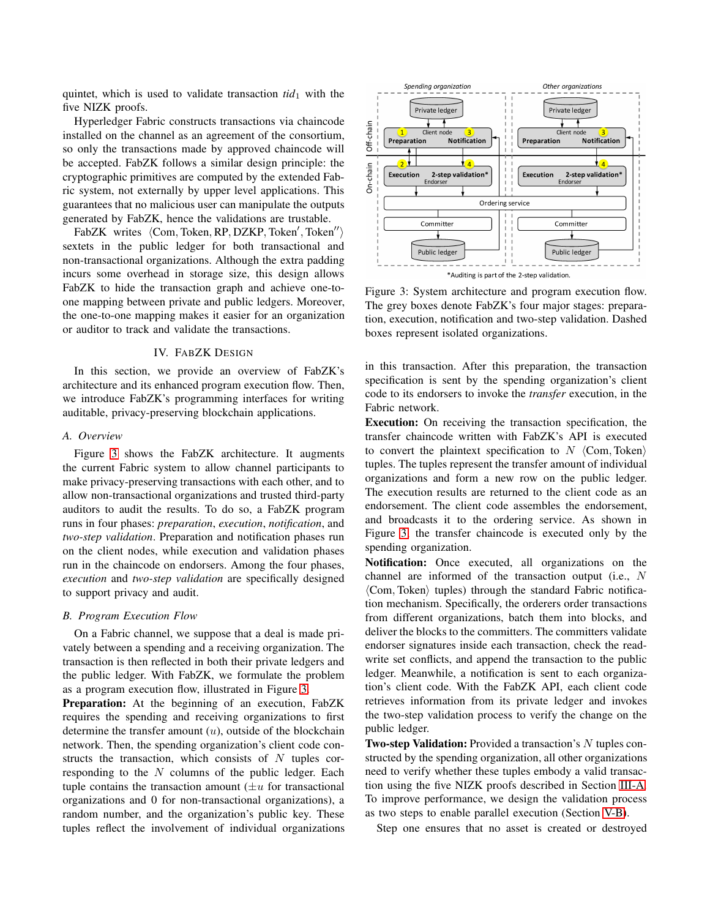quintet, which is used to validate transaction  $tid_1$  with the five NIZK proofs.

Hyperledger Fabric constructs transactions via chaincode installed on the channel as an agreement of the consortium, so only the transactions made by approved chaincode will be accepted. FabZK follows a similar design principle: the cryptographic primitives are computed by the extended Fabric system, not externally by upper level applications. This guarantees that no malicious user can manipulate the outputs generated by FabZK, hence the validations are trustable.

FabZK writes  $\langle$ Com, Token, RP, DZKP, Token', Token'') sextets in the public ledger for both transactional and non-transactional organizations. Although the extra padding incurs some overhead in storage size, this design allows FabZK to hide the transaction graph and achieve one-toone mapping between private and public ledgers. Moreover, the one-to-one mapping makes it easier for an organization or auditor to track and validate the transactions.

# IV. FABZK DESIGN

<span id="page-4-0"></span>In this section, we provide an overview of FabZK's architecture and its enhanced program execution flow. Then, we introduce FabZK's programming interfaces for writing auditable, privacy-preserving blockchain applications.

#### *A. Overview*

Figure [3](#page-4-1) shows the FabZK architecture. It augments the current Fabric system to allow channel participants to make privacy-preserving transactions with each other, and to allow non-transactional organizations and trusted third-party auditors to audit the results. To do so, a FabZK program runs in four phases: *preparation*, *execution*, *notification*, and *two-step validation*. Preparation and notification phases run on the client nodes, while execution and validation phases run in the chaincode on endorsers. Among the four phases, *execution* and *two-step validation* are specifically designed to support privacy and audit.

# *B. Program Execution Flow*

On a Fabric channel, we suppose that a deal is made privately between a spending and a receiving organization. The transaction is then reflected in both their private ledgers and the public ledger. With FabZK, we formulate the problem as a program execution flow, illustrated in Figure [3.](#page-4-1)

Preparation: At the beginning of an execution, FabZK requires the spending and receiving organizations to first determine the transfer amount  $(u)$ , outside of the blockchain network. Then, the spending organization's client code constructs the transaction, which consists of  $N$  tuples corresponding to the  $N$  columns of the public ledger. Each tuple contains the transaction amount  $(\pm u)$  for transactional organizations and 0 for non-transactional organizations), a random number, and the organization's public key. These tuples reflect the involvement of individual organizations

<span id="page-4-1"></span>

Figure 3: System architecture and program execution flow. The grey boxes denote FabZK's four major stages: preparation, execution, notification and two-step validation. Dashed boxes represent isolated organizations.

in this transaction. After this preparation, the transaction specification is sent by the spending organization's client code to its endorsers to invoke the *transfer* execution, in the Fabric network.

Execution: On receiving the transaction specification, the transfer chaincode written with FabZK's API is executed to convert the plaintext specification to  $N \langle Com, Token \rangle$ tuples. The tuples represent the transfer amount of individual organizations and form a new row on the public ledger. The execution results are returned to the client code as an endorsement. The client code assembles the endorsement, and broadcasts it to the ordering service. As shown in Figure [3,](#page-4-1) the transfer chaincode is executed only by the spending organization.

Notification: Once executed, all organizations on the channel are informed of the transaction output (i.e., N  $\langle$ Com, Token $\rangle$  tuples) through the standard Fabric notification mechanism. Specifically, the orderers order transactions from different organizations, batch them into blocks, and deliver the blocks to the committers. The committers validate endorser signatures inside each transaction, check the readwrite set conflicts, and append the transaction to the public ledger. Meanwhile, a notification is sent to each organization's client code. With the FabZK API, each client code retrieves information from its private ledger and invokes the two-step validation process to verify the change on the public ledger.

Two-step Validation: Provided a transaction's N tuples constructed by the spending organization, all other organizations need to verify whether these tuples embody a valid transaction using the five NIZK proofs described in Section [III-A.](#page-2-5) To improve performance, we design the validation process as two steps to enable parallel execution (Section [V-B\)](#page-6-0).

Step one ensures that no asset is created or destroyed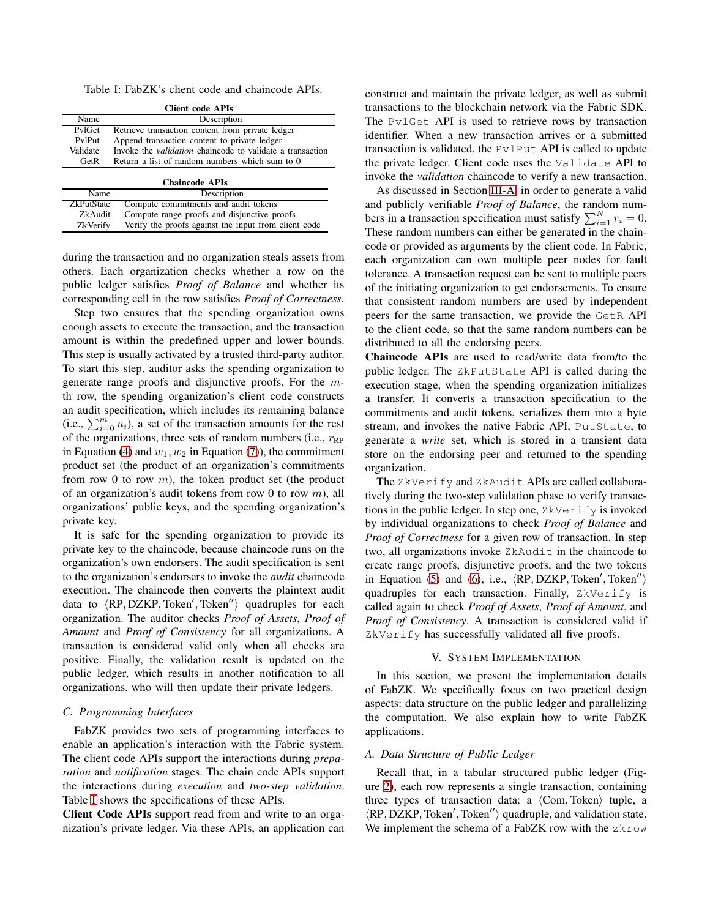<span id="page-5-1"></span>Table I: FabZK's client code and chaincode APIs.

| <b>Client code APIs</b>                                |                                                                  |  |  |  |  |  |
|--------------------------------------------------------|------------------------------------------------------------------|--|--|--|--|--|
| Name                                                   | Description                                                      |  |  |  |  |  |
| PvlGet                                                 | Retrieve transaction content from private ledger                 |  |  |  |  |  |
| Append transaction content to private ledger<br>PvlPut |                                                                  |  |  |  |  |  |
| Validate                                               | Invoke the <i>validation</i> chaincode to validate a transaction |  |  |  |  |  |
| GetR                                                   | Return a list of random numbers which sum to 0                   |  |  |  |  |  |
|                                                        | <b>Chaincode APIs</b>                                            |  |  |  |  |  |
|                                                        |                                                                  |  |  |  |  |  |
| Name                                                   | Description                                                      |  |  |  |  |  |
| <b>ZkPutState</b>                                      | Compute commitments and audit tokens                             |  |  |  |  |  |
| ZkAudit                                                | Compute range proofs and disjunctive proofs                      |  |  |  |  |  |

ZkVerify Verify the proofs against the input from client code

during the transaction and no organization steals assets from others. Each organization checks whether a row on the public ledger satisfies *Proof of Balance* and whether its corresponding cell in the row satisfies *Proof of Correctness*.

Step two ensures that the spending organization owns enough assets to execute the transaction, and the transaction amount is within the predefined upper and lower bounds. This step is usually activated by a trusted third-party auditor. To start this step, auditor asks the spending organization to generate range proofs and disjunctive proofs. For the mth row, the spending organization's client code constructs an audit specification, which includes its remaining balance (i.e.,  $\sum_{i=0}^{m} u_i$ ), a set of the transaction amounts for the rest of the organizations, three sets of random numbers (i.e.,  $r_{RP}$ ) in Equation [\(4\)](#page-2-4) and  $w_1, w_2$  in Equation [\(7\)](#page-10-11)), the commitment product set (the product of an organization's commitments from row 0 to row  $m$ ), the token product set (the product of an organization's audit tokens from row 0 to row  $m$ ), all organizations' public keys, and the spending organization's private key.

It is safe for the spending organization to provide its private key to the chaincode, because chaincode runs on the organization's own endorsers. The audit specification is sent to the organization's endorsers to invoke the *audit* chaincode execution. The chaincode then converts the plaintext audit data to  $\langle$ RP, DZKP, Token', Token'') quadruples for each organization. The auditor checks *Proof of Assets*, *Proof of Amount* and *Proof of Consistency* for all organizations. A transaction is considered valid only when all checks are positive. Finally, the validation result is updated on the public ledger, which results in another notification to all organizations, who will then update their private ledgers.

#### *C. Programming Interfaces*

FabZK provides two sets of programming interfaces to enable an application's interaction with the Fabric system. The client code APIs support the interactions during *preparation* and *notification* stages. The chain code APIs support the interactions during *execution* and *two-step validation*. Table [I](#page-5-1) shows the specifications of these APIs.

Client Code APIs support read from and write to an organization's private ledger. Via these APIs, an application can construct and maintain the private ledger, as well as submit transactions to the blockchain network via the Fabric SDK. The PvlGet API is used to retrieve rows by transaction identifier. When a new transaction arrives or a submitted transaction is validated, the  $Pv1Put$  API is called to update the private ledger. Client code uses the Validate API to invoke the *validation* chaincode to verify a new transaction.

As discussed in Section [III-A,](#page-2-5) in order to generate a valid and publicly verifiable *Proof of Balance*, the random numbers in a transaction specification must satisfy  $\sum_{i=1}^{N} r_i = 0$ . These random numbers can either be generated in the chaincode or provided as arguments by the client code. In Fabric, each organization can own multiple peer nodes for fault tolerance. A transaction request can be sent to multiple peers of the initiating organization to get endorsements. To ensure that consistent random numbers are used by independent peers for the same transaction, we provide the GetR API to the client code, so that the same random numbers can be distributed to all the endorsing peers.

Chaincode APIs are used to read/write data from/to the public ledger. The ZkPutState API is called during the execution stage, when the spending organization initializes a transfer. It converts a transaction specification to the commitments and audit tokens, serializes them into a byte stream, and invokes the native Fabric API, PutState, to generate a *write* set, which is stored in a transient data store on the endorsing peer and returned to the spending organization.

The ZkVerify and ZkAudit APIs are called collaboratively during the two-step validation phase to verify transactions in the public ledger. In step one,  $2k\text{Verify}$  is invoked by individual organizations to check *Proof of Balance* and *Proof of Correctness* for a given row of transaction. In step two, all organizations invoke ZkAudit in the chaincode to create range proofs, disjunctive proofs, and the two tokens in Equation [\(5\)](#page-3-1) and [\(6\)](#page-3-2), i.e.,  $\langle \text{RP}, \text{DZKP}, \text{Token}' \rangle$ quadruples for each transaction. Finally, ZkVerify is called again to check *Proof of Assets*, *Proof of Amount*, and *Proof of Consistency*. A transaction is considered valid if ZkVerify has successfully validated all five proofs.

#### V. SYSTEM IMPLEMENTATION

<span id="page-5-0"></span>In this section, we present the implementation details of FabZK. We specifically focus on two practical design aspects: data structure on the public ledger and parallelizing the computation. We also explain how to write FabZK applications.

#### *A. Data Structure of Public Ledger*

Recall that, in a tabular structured public ledger (Figure [2\)](#page-3-0), each row represents a single transaction, containing three types of transaction data: a  $\langle Com, Token \rangle$  tuple, a  $\langle$ RP, DZKP, Token', Token'') quadruple, and validation state. We implement the schema of a FabZK row with the zkrow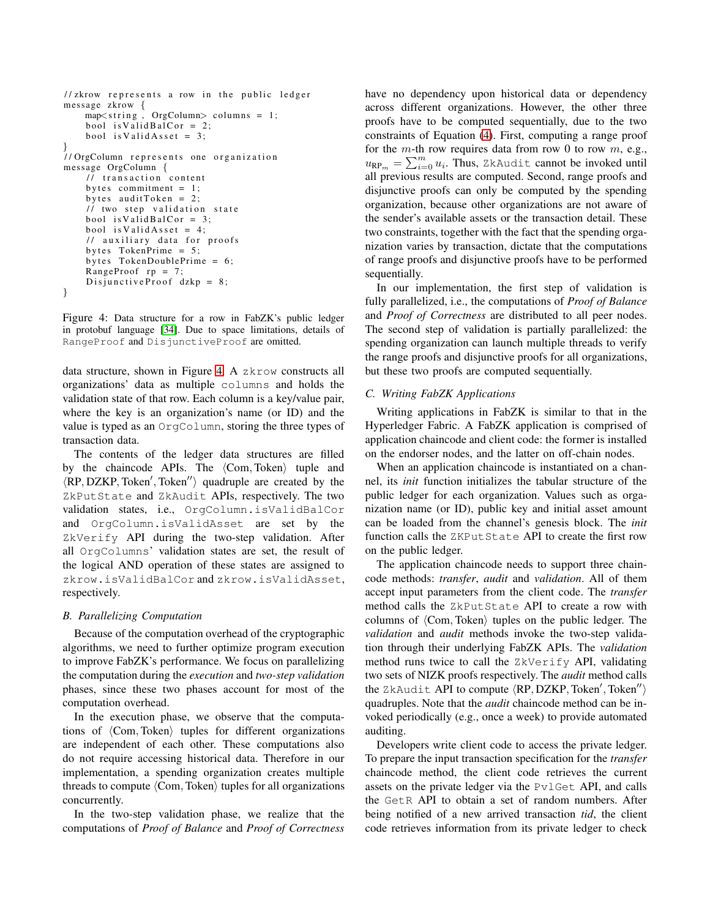```
1/ zkrow represents a row in the public ledger
message zkrow {
    map<string, OrgColumn> columns = 1;
    bool is Valid BalCor = 2;
    bool is Valid Asset = 3;
}
// OrgColumn represents one organization
message OrgColumn {
    // transaction content
    by tes commitment = 1;
    bytes auditToken = 2;
    \frac{1}{\sqrt{2}} two step validation state
    bool is V alid B al Cor = 3;
    bool is Valid Asset = 4;
    // auxiliary data for proofs
    bytes TokenPrime = 5;
    by tes TokenDoublePrime = 6;
    RangeProof rp = 7;
    DisjunctiveProof dzkp = 8;
}
```
Figure 4: Data structure for a row in FabZK's public ledger in protobuf language [\[34\]](#page-11-22). Due to space limitations, details of RangeProof and DisjunctiveProof are omitted.

data structure, shown in Figure [4.](#page-6-1) A zkrow constructs all organizations' data as multiple columns and holds the validation state of that row. Each column is a key/value pair, where the key is an organization's name (or ID) and the value is typed as an OrgColumn, storing the three types of transaction data.

The contents of the ledger data structures are filled by the chaincode APIs. The  $\langle Com, Token \rangle$  tuple and  $\langle \text{RP}, \text{DZKP}, \text{Token}', \text{Token}'' \rangle$  quadruple are created by the ZkPutState and ZkAudit APIs, respectively. The two validation states, i.e., OrgColumn.isValidBalCor and OrgColumn.isValidAsset are set by the ZkVerify API during the two-step validation. After all OrgColumns' validation states are set, the result of the logical AND operation of these states are assigned to zkrow.isValidBalCor and zkrow.isValidAsset, respectively.

# <span id="page-6-0"></span>*B. Parallelizing Computation*

Because of the computation overhead of the cryptographic algorithms, we need to further optimize program execution to improve FabZK's performance. We focus on parallelizing the computation during the *execution* and *two-step validation* phases, since these two phases account for most of the computation overhead.

In the execution phase, we observe that the computations of  $\langle Com, Token \rangle$  tuples for different organizations are independent of each other. These computations also do not require accessing historical data. Therefore in our implementation, a spending organization creates multiple threads to compute  $\langle Com, Token \rangle$  tuples for all organizations concurrently.

In the two-step validation phase, we realize that the computations of *Proof of Balance* and *Proof of Correctness* have no dependency upon historical data or dependency across different organizations. However, the other three proofs have to be computed sequentially, due to the two constraints of Equation [\(4\)](#page-2-4). First, computing a range proof for the  $m$ -th row requires data from row 0 to row  $m$ , e.g.,  $u_{\mathsf{RP}_m} = \sum_{i=0}^m u_i$ . Thus, ZkAudit cannot be invoked until all previous results are computed. Second, range proofs and disjunctive proofs can only be computed by the spending organization, because other organizations are not aware of the sender's available assets or the transaction detail. These two constraints, together with the fact that the spending organization varies by transaction, dictate that the computations of range proofs and disjunctive proofs have to be performed sequentially.

In our implementation, the first step of validation is fully parallelized, i.e., the computations of *Proof of Balance* and *Proof of Correctness* are distributed to all peer nodes. The second step of validation is partially parallelized: the spending organization can launch multiple threads to verify the range proofs and disjunctive proofs for all organizations, but these two proofs are computed sequentially.

# <span id="page-6-2"></span>*C. Writing FabZK Applications*

Writing applications in FabZK is similar to that in the Hyperledger Fabric. A FabZK application is comprised of application chaincode and client code: the former is installed on the endorser nodes, and the latter on off-chain nodes.

When an application chaincode is instantiated on a channel, its *init* function initializes the tabular structure of the public ledger for each organization. Values such as organization name (or ID), public key and initial asset amount can be loaded from the channel's genesis block. The *init* function calls the ZKPutState API to create the first row on the public ledger.

The application chaincode needs to support three chaincode methods: *transfer*, *audit* and *validation*. All of them accept input parameters from the client code. The *transfer* method calls the ZkPutState API to create a row with columns of  $\langle Com, Token \rangle$  tuples on the public ledger. The *validation* and *audit* methods invoke the two-step validation through their underlying FabZK APIs. The *validation* method runs twice to call the ZkVerify API, validating two sets of NIZK proofs respectively. The *audit* method calls the ZkAudit API to compute  $\langle RP, DZKP, Token', Token'' \rangle$ quadruples. Note that the *audit* chaincode method can be invoked periodically (e.g., once a week) to provide automated auditing.

Developers write client code to access the private ledger. To prepare the input transaction specification for the *transfer* chaincode method, the client code retrieves the current assets on the private ledger via the PvlGet API, and calls the GetR API to obtain a set of random numbers. After being notified of a new arrived transaction *tid*, the client code retrieves information from its private ledger to check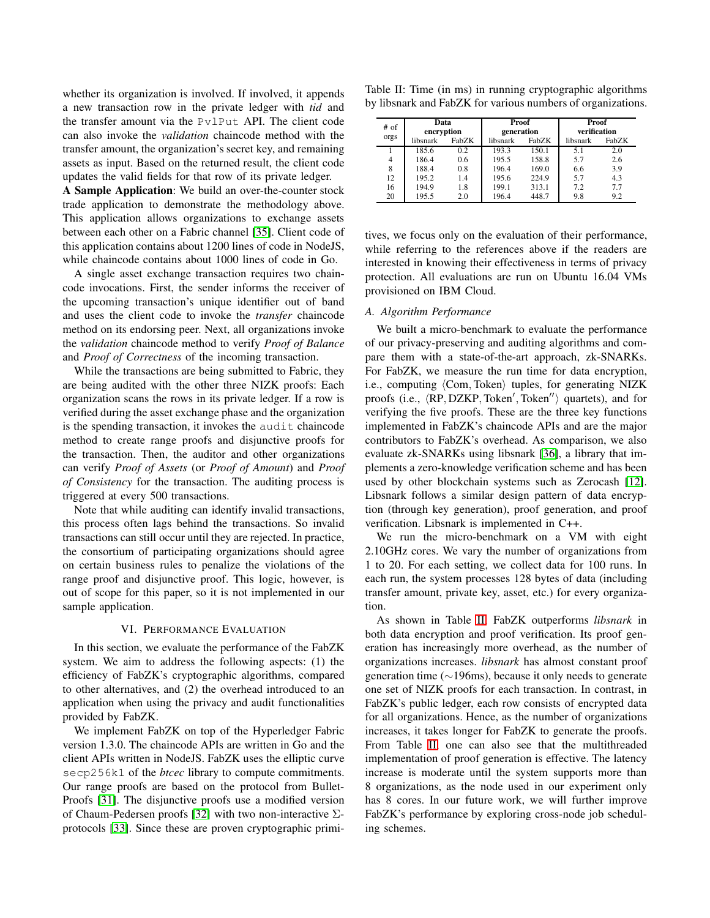whether its organization is involved. If involved, it appends a new transaction row in the private ledger with *tid* and the transfer amount via the PvlPut API. The client code can also invoke the *validation* chaincode method with the transfer amount, the organization's secret key, and remaining assets as input. Based on the returned result, the client code updates the valid fields for that row of its private ledger.

A Sample Application: We build an over-the-counter stock trade application to demonstrate the methodology above. This application allows organizations to exchange assets between each other on a Fabric channel [\[35\]](#page-11-23). Client code of this application contains about 1200 lines of code in NodeJS, while chaincode contains about 1000 lines of code in Go.

A single asset exchange transaction requires two chaincode invocations. First, the sender informs the receiver of the upcoming transaction's unique identifier out of band and uses the client code to invoke the *transfer* chaincode method on its endorsing peer. Next, all organizations invoke the *validation* chaincode method to verify *Proof of Balance* and *Proof of Correctness* of the incoming transaction.

While the transactions are being submitted to Fabric, they are being audited with the other three NIZK proofs: Each organization scans the rows in its private ledger. If a row is verified during the asset exchange phase and the organization is the spending transaction, it invokes the audit chaincode method to create range proofs and disjunctive proofs for the transaction. Then, the auditor and other organizations can verify *Proof of Assets* (or *Proof of Amount*) and *Proof of Consistency* for the transaction. The auditing process is triggered at every 500 transactions.

Note that while auditing can identify invalid transactions, this process often lags behind the transactions. So invalid transactions can still occur until they are rejected. In practice, the consortium of participating organizations should agree on certain business rules to penalize the violations of the range proof and disjunctive proof. This logic, however, is out of scope for this paper, so it is not implemented in our sample application.

#### VI. PERFORMANCE EVALUATION

<span id="page-7-0"></span>In this section, we evaluate the performance of the FabZK system. We aim to address the following aspects: (1) the efficiency of FabZK's cryptographic algorithms, compared to other alternatives, and (2) the overhead introduced to an application when using the privacy and audit functionalities provided by FabZK.

We implement FabZK on top of the Hyperledger Fabric version 1.3.0. The chaincode APIs are written in Go and the client APIs written in NodeJS. FabZK uses the elliptic curve secp256k1 of the *btcec* library to compute commitments. Our range proofs are based on the protocol from Bullet-Proofs [\[31\]](#page-11-19). The disjunctive proofs use a modified version of Chaum-Pedersen proofs [\[32\]](#page-11-20) with two non-interactive Σprotocols [\[33\]](#page-11-21). Since these are proven cryptographic primi-

<span id="page-7-1"></span>

| Table II: Time (in ms) in running cryptographic algorithms  |  |  |
|-------------------------------------------------------------|--|--|
| by libsnark and FabZK for various numbers of organizations. |  |  |

| # of<br>orgs   | Data<br>encryption<br>libsnark<br>FabZK |     | <b>Proof</b><br>generation<br>FabZK<br>libsnark |       | <b>Proof</b><br>verification<br>FabZK<br>libsnark |     |
|----------------|-----------------------------------------|-----|-------------------------------------------------|-------|---------------------------------------------------|-----|
|                | 185.6                                   | 0.2 | 193.3                                           | 150.1 | 5.1                                               | 2.0 |
| $\overline{4}$ | 186.4                                   | 0.6 | 195.5                                           | 158.8 | 5.7                                               | 2.6 |
| 8              | 188.4                                   | 0.8 | 196.4                                           | 169.0 | 6.6                                               | 3.9 |
| 12             | 195.2                                   | 1.4 | 195.6                                           | 224.9 | 5.7                                               | 4.3 |
| 16             | 194.9                                   | 1.8 | 199.1                                           | 313.1 | 7.2                                               | 7.7 |
| 20             | 195.5                                   | 2.0 | 196.4                                           | 448.7 | 9.8                                               | 9.2 |

tives, we focus only on the evaluation of their performance, while referring to the references above if the readers are interested in knowing their effectiveness in terms of privacy protection. All evaluations are run on Ubuntu 16.04 VMs provisioned on IBM Cloud.

## *A. Algorithm Performance*

We built a micro-benchmark to evaluate the performance of our privacy-preserving and auditing algorithms and compare them with a state-of-the-art approach, zk-SNARKs. For FabZK, we measure the run time for data encryption, i.e., computing  $\langle Com, Token \rangle$  tuples, for generating NIZK proofs (i.e.,  $\langle \overline{RP}, DZ\overline{KP}, \overline{Token}', \overline{Token''}\rangle$  quartets), and for verifying the five proofs. These are the three key functions implemented in FabZK's chaincode APIs and are the major contributors to FabZK's overhead. As comparison, we also evaluate zk-SNARKs using libsnark [\[36\]](#page-11-24), a library that implements a zero-knowledge verification scheme and has been used by other blockchain systems such as Zerocash [\[12\]](#page-11-0). Libsnark follows a similar design pattern of data encryption (through key generation), proof generation, and proof verification. Libsnark is implemented in C++.

We run the micro-benchmark on a VM with eight 2.10GHz cores. We vary the number of organizations from 1 to 20. For each setting, we collect data for 100 runs. In each run, the system processes 128 bytes of data (including transfer amount, private key, asset, etc.) for every organization.

As shown in Table [II,](#page-7-1) FabZK outperforms *libsnark* in both data encryption and proof verification. Its proof generation has increasingly more overhead, as the number of organizations increases. *libsnark* has almost constant proof generation time (∼196ms), because it only needs to generate one set of NIZK proofs for each transaction. In contrast, in FabZK's public ledger, each row consists of encrypted data for all organizations. Hence, as the number of organizations increases, it takes longer for FabZK to generate the proofs. From Table [II,](#page-7-1) one can also see that the multithreaded implementation of proof generation is effective. The latency increase is moderate until the system supports more than 8 organizations, as the node used in our experiment only has 8 cores. In our future work, we will further improve FabZK's performance by exploring cross-node job scheduling schemes.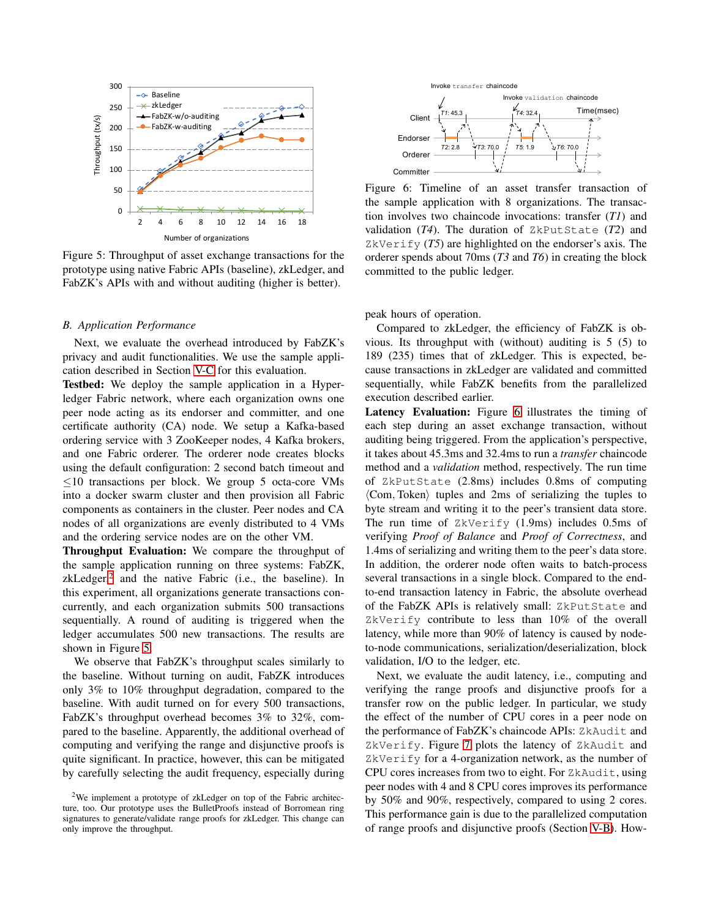<span id="page-8-1"></span>

Figure 5: Throughput of asset exchange transactions for the prototype using native Fabric APIs (baseline), zkLedger, and FabZK's APIs with and without auditing (higher is better).

#### *B. Application Performance*

Next, we evaluate the overhead introduced by FabZK's privacy and audit functionalities. We use the sample application described in Section [V-C](#page-6-2) for this evaluation.

Testbed: We deploy the sample application in a Hyperledger Fabric network, where each organization owns one peer node acting as its endorser and committer, and one certificate authority (CA) node. We setup a Kafka-based ordering service with 3 ZooKeeper nodes, 4 Kafka brokers, and one Fabric orderer. The orderer node creates blocks using the default configuration: 2 second batch timeout and  $\leq$ 10 transactions per block. We group 5 octa-core VMs into a docker swarm cluster and then provision all Fabric components as containers in the cluster. Peer nodes and CA nodes of all organizations are evenly distributed to 4 VMs and the ordering service nodes are on the other VM.

Throughput Evaluation: We compare the throughput of the sample application running on three systems: FabZK, zkLedger,<sup>[2](#page-8-0)</sup> and the native Fabric (i.e., the baseline). In this experiment, all organizations generate transactions concurrently, and each organization submits 500 transactions sequentially. A round of auditing is triggered when the ledger accumulates 500 new transactions. The results are shown in Figure [5.](#page-8-1)

We observe that FabZK's throughput scales similarly to the baseline. Without turning on audit, FabZK introduces only 3% to 10% throughput degradation, compared to the baseline. With audit turned on for every 500 transactions, FabZK's throughput overhead becomes 3% to 32%, compared to the baseline. Apparently, the additional overhead of computing and verifying the range and disjunctive proofs is quite significant. In practice, however, this can be mitigated by carefully selecting the audit frequency, especially during

<span id="page-8-2"></span>

Figure 6: Timeline of an asset transfer transaction of the sample application with 8 organizations. The transaction involves two chaincode invocations: transfer (*T1*) and validation (*T4*). The duration of ZkPutState (*T2*) and ZkVerify  $(T5)$  are highlighted on the endorser's axis. The orderer spends about 70ms (*T3* and *T6*) in creating the block committed to the public ledger.

peak hours of operation.

Compared to zkLedger, the efficiency of FabZK is obvious. Its throughput with (without) auditing is 5 (5) to 189 (235) times that of zkLedger. This is expected, because transactions in zkLedger are validated and committed sequentially, while FabZK benefits from the parallelized execution described earlier.

Latency Evaluation: Figure [6](#page-8-2) illustrates the timing of each step during an asset exchange transaction, without auditing being triggered. From the application's perspective, it takes about 45.3ms and 32.4ms to run a *transfer* chaincode method and a *validation* method, respectively. The run time of ZkPutState (2.8ms) includes 0.8ms of computing  $\langle$ Com, Token $\rangle$  tuples and 2ms of serializing the tuples to byte stream and writing it to the peer's transient data store. The run time of ZkVerify (1.9ms) includes 0.5ms of verifying *Proof of Balance* and *Proof of Correctness*, and 1.4ms of serializing and writing them to the peer's data store. In addition, the orderer node often waits to batch-process several transactions in a single block. Compared to the endto-end transaction latency in Fabric, the absolute overhead of the FabZK APIs is relatively small: ZkPutState and ZkVerify contribute to less than 10% of the overall latency, while more than 90% of latency is caused by nodeto-node communications, serialization/deserialization, block validation, I/O to the ledger, etc.

Next, we evaluate the audit latency, i.e., computing and verifying the range proofs and disjunctive proofs for a transfer row on the public ledger. In particular, we study the effect of the number of CPU cores in a peer node on the performance of FabZK's chaincode APIs: ZkAudit and ZkVerify. Figure [7](#page-9-2) plots the latency of ZkAudit and ZkVerify for a 4-organization network, as the number of CPU cores increases from two to eight. For ZkAudit, using peer nodes with 4 and 8 CPU cores improves its performance by 50% and 90%, respectively, compared to using 2 cores. This performance gain is due to the parallelized computation of range proofs and disjunctive proofs (Section [V-B\)](#page-6-0). How-

<span id="page-8-0"></span><sup>2</sup>We implement a prototype of zkLedger on top of the Fabric architecture, too. Our prototype uses the BulletProofs instead of Borromean ring signatures to generate/validate range proofs for zkLedger. This change can only improve the throughput.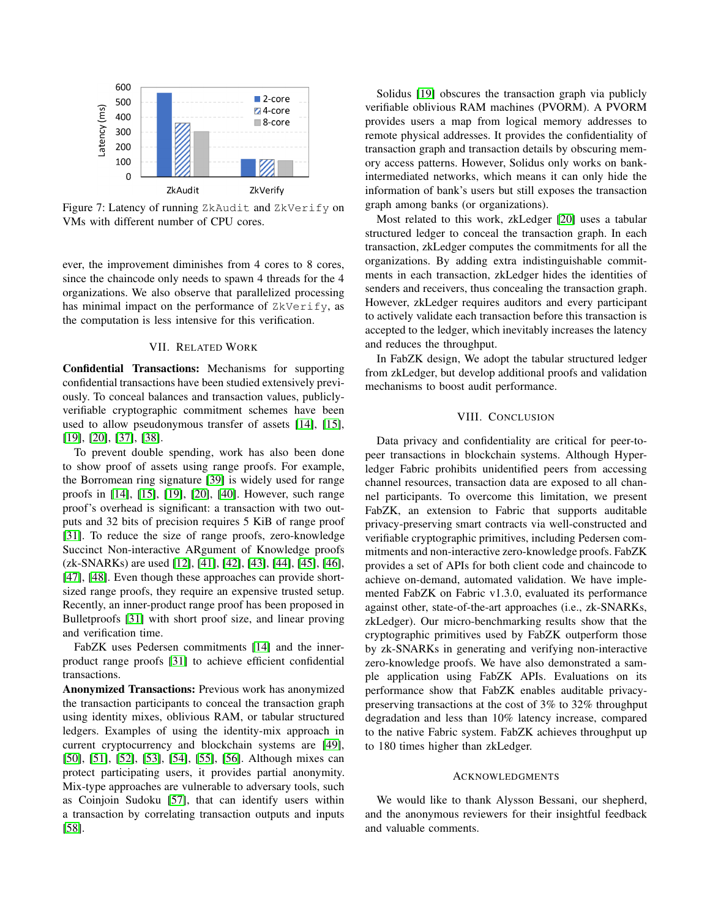<span id="page-9-2"></span>

Figure 7: Latency of running ZkAudit and ZkVerify on VMs with different number of CPU cores.

ever, the improvement diminishes from 4 cores to 8 cores, since the chaincode only needs to spawn 4 threads for the 4 organizations. We also observe that parallelized processing has minimal impact on the performance of ZkVerify, as the computation is less intensive for this verification.

# VII. RELATED WORK

<span id="page-9-0"></span>Confidential Transactions: Mechanisms for supporting confidential transactions have been studied extensively previously. To conceal balances and transaction values, publiclyverifiable cryptographic commitment schemes have been used to allow pseudonymous transfer of assets [\[14\]](#page-11-2), [\[15\]](#page-11-3), [\[19\]](#page-11-7), [\[20\]](#page-11-8), [\[37\]](#page-11-25), [\[38\]](#page-11-26).

To prevent double spending, work has also been done to show proof of assets using range proofs. For example, the Borromean ring signature [\[39\]](#page-11-27) is widely used for range proofs in [\[14\]](#page-11-2), [\[15\]](#page-11-3), [\[19\]](#page-11-7), [\[20\]](#page-11-8), [\[40\]](#page-11-28). However, such range proof's overhead is significant: a transaction with two outputs and 32 bits of precision requires 5 KiB of range proof [\[31\]](#page-11-19). To reduce the size of range proofs, zero-knowledge Succinct Non-interactive ARgument of Knowledge proofs (zk-SNARKs) are used [\[12\]](#page-11-0), [\[41\]](#page-11-29), [\[42\]](#page-11-30), [\[43\]](#page-11-31), [\[44\]](#page-11-32), [\[45\]](#page-11-33), [\[46\]](#page-12-0), [\[47\]](#page-12-1), [\[48\]](#page-12-2). Even though these approaches can provide shortsized range proofs, they require an expensive trusted setup. Recently, an inner-product range proof has been proposed in Bulletproofs [\[31\]](#page-11-19) with short proof size, and linear proving and verification time.

FabZK uses Pedersen commitments [\[14\]](#page-11-2) and the innerproduct range proofs [\[31\]](#page-11-19) to achieve efficient confidential transactions.

Anonymized Transactions: Previous work has anonymized the transaction participants to conceal the transaction graph using identity mixes, oblivious RAM, or tabular structured ledgers. Examples of using the identity-mix approach in current cryptocurrency and blockchain systems are [\[49\]](#page-12-3), [\[50\]](#page-12-4), [\[51\]](#page-12-5), [\[52\]](#page-12-6), [\[53\]](#page-12-7), [\[54\]](#page-12-8), [\[55\]](#page-12-9), [\[56\]](#page-12-10). Although mixes can protect participating users, it provides partial anonymity. Mix-type approaches are vulnerable to adversary tools, such as Coinjoin Sudoku [\[57\]](#page-12-11), that can identify users within a transaction by correlating transaction outputs and inputs [\[58\]](#page-12-12).

Solidus [\[19\]](#page-11-7) obscures the transaction graph via publicly verifiable oblivious RAM machines (PVORM). A PVORM provides users a map from logical memory addresses to remote physical addresses. It provides the confidentiality of transaction graph and transaction details by obscuring memory access patterns. However, Solidus only works on bankintermediated networks, which means it can only hide the information of bank's users but still exposes the transaction graph among banks (or organizations).

Most related to this work, zkLedger [\[20\]](#page-11-8) uses a tabular structured ledger to conceal the transaction graph. In each transaction, zkLedger computes the commitments for all the organizations. By adding extra indistinguishable commitments in each transaction, zkLedger hides the identities of senders and receivers, thus concealing the transaction graph. However, zkLedger requires auditors and every participant to actively validate each transaction before this transaction is accepted to the ledger, which inevitably increases the latency and reduces the throughput.

In FabZK design, We adopt the tabular structured ledger from zkLedger, but develop additional proofs and validation mechanisms to boost audit performance.

## VIII. CONCLUSION

<span id="page-9-1"></span>Data privacy and confidentiality are critical for peer-topeer transactions in blockchain systems. Although Hyperledger Fabric prohibits unidentified peers from accessing channel resources, transaction data are exposed to all channel participants. To overcome this limitation, we present FabZK, an extension to Fabric that supports auditable privacy-preserving smart contracts via well-constructed and verifiable cryptographic primitives, including Pedersen commitments and non-interactive zero-knowledge proofs. FabZK provides a set of APIs for both client code and chaincode to achieve on-demand, automated validation. We have implemented FabZK on Fabric v1.3.0, evaluated its performance against other, state-of-the-art approaches (i.e., zk-SNARKs, zkLedger). Our micro-benchmarking results show that the cryptographic primitives used by FabZK outperform those by zk-SNARKs in generating and verifying non-interactive zero-knowledge proofs. We have also demonstrated a sample application using FabZK APIs. Evaluations on its performance show that FabZK enables auditable privacypreserving transactions at the cost of 3% to 32% throughput degradation and less than 10% latency increase, compared to the native Fabric system. FabZK achieves throughput up to 180 times higher than zkLedger.

#### ACKNOWLEDGMENTS

We would like to thank Alysson Bessani, our shepherd, and the anonymous reviewers for their insightful feedback and valuable comments.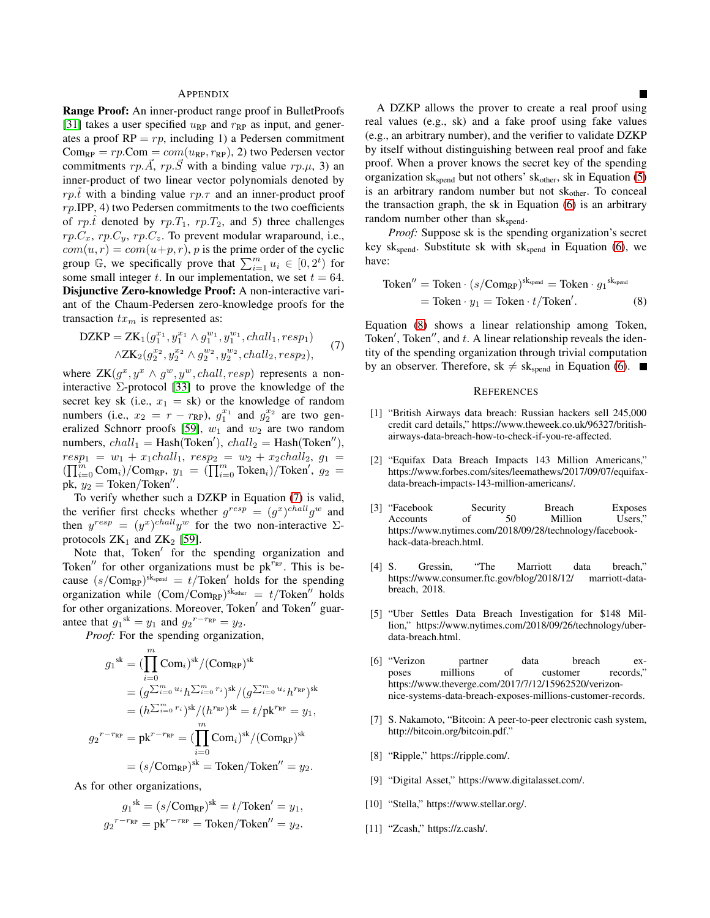#### APPENDIX

Range Proof: An inner-product range proof in BulletProofs [\[31\]](#page-11-19) takes a user specified  $u_{RP}$  and  $r_{RP}$  as input, and generates a proof  $RP = rp$ , including 1) a Pedersen commitment  $Com_{RP} = rp$ . Com =  $com(u_{RP}, r_{RP})$ , 2) two Pedersen vector commitments  $rp.\overline{A}$ ,  $rp.\overline{S}$  with a binding value  $rp.\mu$ , 3) an inner-product of two linear vector polynomials denoted by rp.t with a binding value rp. $\tau$  and an inner-product proof  $rp.IDP, 4)$  two Pedersen commitments to the two coefficients of rp.t̂ denoted by rp.T<sub>1</sub>, rp.T<sub>2</sub>, and 5) three challenges  $rp.C_x, rp.C_y, rp.C_z$ . To prevent modular wraparound, i.e.,  $com(u, r) = com(u+p, r)$ , p is the prime order of the cyclic group  $\mathbb{G}$ , we specifically prove that  $\sum_{i=1}^{m} u_i \in [0, 2^t)$  for some small integer t. In our implementation, we set  $t = 64$ . Disjunctive Zero-knowledge Proof: A non-interactive variant of the Chaum-Pedersen zero-knowledge proofs for the transaction  $tx_m$  is represented as:

$$
DZKP = ZK_1(g_1^{x_1}, y_1^{x_1} \wedge g_1^{w_1}, y_1^{w_1}, \text{chall}_1, \text{resp}_1)
$$
  
 
$$
\wedge ZK_2(g_2^{x_2}, y_2^{x_2} \wedge g_2^{w_2}, y_2^{w_2}, \text{chall}_2, \text{resp}_2),
$$
 (7)

where  $ZK(g^x, y^x \wedge g^w, y^w, \text{chall}, \text{resp})$  represents a noninteractive  $\Sigma$ -protocol [\[33\]](#page-11-21) to prove the knowledge of the secret key sk (i.e.,  $x_1 = sk$ ) or the knowledge of random numbers (i.e.,  $x_2 = r - r_{RP}$ ),  $g_1^{x_1}$  and  $g_2^{x_2}$  are two gen-eralized Schnorr proofs [\[59\]](#page-12-13),  $w_1$  and  $w_2$  are two random numbers,  $chall_1 =$  Hash(Token'),  $chall_2 =$  Hash(Token''),  $resp_1 = w_1 + x_1$ chall<sub>1</sub>,  $resp_2 = w_2 + x_2$ chall<sub>2</sub>,  $g_1 =$  $(\prod_{i=0}^{m} Com_i)/Com_{RP}, y_1 = (\prod_{i=0}^{m} Token_i)/Token', y_2 =$ pk,  $y_2 = \text{Token}/\text{Token}''$ .

To verify whether such a DZKP in Equation [\(7\)](#page-10-11) is valid, the verifier first checks whether  $g^{resp} = (g^x)^{chall} g^w$  and then  $y^{resp} = (y^x)^{chall} y^w$  for the two non-interactive  $\Sigma$ protocols  $ZK_1$  and  $ZK_2$  [\[59\]](#page-12-13).

Note that, Token' for the spending organization and Token $''$  for other organizations must be pk $^{r_{RP}}$ . This is because  $(s/\text{Com}_{RP})^{\text{skspend}} = t/\text{Token}'$  holds for the spending organization while  $(\text{Com}/\text{Com}_{RP})^{\text{sk}_{other}} = t/\text{Token}''$  holds for other organizations. Moreover, Token' and Token'' guarantee that  $g_1^{\text{sk}} = y_1$  and  $g_2^{\text{r-r}_{\text{RP}}} = y_2$ .

*Proof:* For the spending organization,

$$
g_1^{sk} = (\prod_{i=0}^m \text{Com}_i)^{sk} / (\text{Com}_{\text{RP}})^{sk}
$$
  
=  $(g^{\sum_{i=0}^m u_i} h^{\sum_{i=0}^m r_i})^{sk} / (g^{\sum_{i=0}^m u_i} h^{r_{\text{RP}}})^{sk}$   
=  $(h^{\sum_{i=0}^m r_i})^{sk} / (h^{r_{\text{RP}}})^{sk} = t / \text{pk}^{r_{\text{RP}}} = y_1,$   
 $g_2^{r-r_{\text{RP}}} = \text{pk}^{r-r_{\text{RP}}} = (\prod_{i=0}^m \text{Com}_i)^{sk} / (\text{Com}_{\text{RP}})^{sk}$   
=  $(s / \text{Com}_{\text{RP}})^{sk} = \text{Token} / \text{Token}'' = y_2.$ 

As for other organizations,

$$
g_1^{\text{sk}} = (s/\text{Comp}_P)^{\text{sk}} = t/\text{Token}' = y_1,
$$
  

$$
g_2^{r-r_{\text{RP}}} = \text{pk}^{r-r_{\text{RP}}} = \text{Token}/\text{Token}'' = y_2.
$$

A DZKP allows the prover to create a real proof using real values (e.g., sk) and a fake proof using fake values (e.g., an arbitrary number), and the verifier to validate DZKP by itself without distinguishing between real proof and fake proof. When a prover knows the secret key of the spending organization sk<sub>spend</sub> but not others' sk<sub>other</sub>, sk in Equation [\(5\)](#page-3-1) is an arbitrary random number but not  $sk<sub>other</sub>$ . To conceal the transaction graph, the sk in Equation [\(6\)](#page-3-2) is an arbitrary random number other than  $sk_{\text{spend}}$ .

*Proof:* Suppose sk is the spending organization's secret key sk<sub>spend</sub>. Substitute sk with sk<sub>spend</sub> in Equation [\(6\)](#page-3-2), we have:

$$
\begin{aligned} \text{Token}'' &= \text{Token} \cdot (s/\text{Com}_{\text{RP}})^{\text{sk}_{\text{spend}}} = \text{Token} \cdot g_1^{\text{sk}_{\text{spend}}} \\ &= \text{Token} \cdot y_1 = \text{Token} \cdot t/\text{Token}'. \end{aligned} \tag{8}
$$

<span id="page-10-11"></span>Equation [\(8\)](#page-10-12) shows a linear relationship among Token, Token', Token'', and t. A linear relationship reveals the identity of the spending organization through trivial computation by an observer. Therefore, sk  $\neq$  sk<sub>spend</sub> in Equation [\(6\)](#page-3-2).

#### <span id="page-10-12"></span>**REFERENCES**

- <span id="page-10-0"></span>[1] "British Airways data breach: Russian hackers sell 245,000 credit card details," https://www.theweek.co.uk/96327/britishairways-data-breach-how-to-check-if-you-re-affected.
- <span id="page-10-1"></span>[2] "Equifax Data Breach Impacts 143 Million Americans," https://www.forbes.com/sites/leemathews/2017/09/07/equifaxdata-breach-impacts-143-million-americans/.
- <span id="page-10-2"></span>[3] "Facebook Security Breach Exposes Accounts of 50 Million Users," https://www.nytimes.com/2018/09/28/technology/facebookhack-data-breach.html.
- <span id="page-10-3"></span>[4] S. Gressin, "The Marriott data breach," https://www.consumer.ftc.gov/blog/2018/12/ marriott-databreach, 2018.
- <span id="page-10-4"></span>[5] "Uber Settles Data Breach Investigation for \$148 Million," https://www.nytimes.com/2018/09/26/technology/uberdata-breach.html.
- <span id="page-10-5"></span>[6] "Verizon partner data breach exmillions of customer records," https://www.theverge.com/2017/7/12/15962520/verizonnice-systems-data-breach-exposes-millions-customer-records.
- <span id="page-10-6"></span>[7] S. Nakamoto, "Bitcoin: A peer-to-peer electronic cash system, http://bitcoin.org/bitcoin.pdf."
- <span id="page-10-7"></span>[8] "Ripple," https://ripple.com/.
- <span id="page-10-8"></span>[9] "Digital Asset," https://www.digitalasset.com/.
- <span id="page-10-9"></span>[10] "Stella," https://www.stellar.org/.
- <span id="page-10-10"></span>[11] "Zcash," https://z.cash/.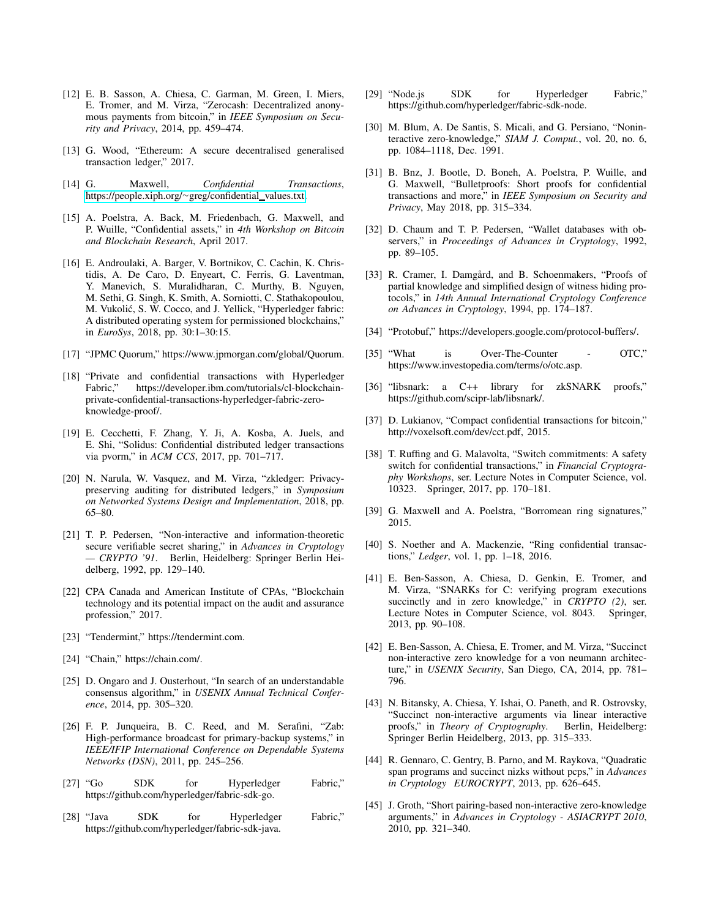- <span id="page-11-0"></span>[12] E. B. Sasson, A. Chiesa, C. Garman, M. Green, I. Miers, E. Tromer, and M. Virza, "Zerocash: Decentralized anonymous payments from bitcoin," in *IEEE Symposium on Security and Privacy*, 2014, pp. 459–474.
- <span id="page-11-1"></span>[13] G. Wood, "Ethereum: A secure decentralised generalised transaction ledger," 2017.
- <span id="page-11-2"></span>[14] G. Maxwell, *Confidential Transactions*, [https://people.xiph.org/](https://people.xiph.org/~greg/confidential_values.txt)<sup>∼</sup>greg/confidential values.txt.
- <span id="page-11-3"></span>[15] A. Poelstra, A. Back, M. Friedenbach, G. Maxwell, and P. Wuille, "Confidential assets," in *4th Workshop on Bitcoin and Blockchain Research*, April 2017.
- <span id="page-11-4"></span>[16] E. Androulaki, A. Barger, V. Bortnikov, C. Cachin, K. Christidis, A. De Caro, D. Enyeart, C. Ferris, G. Laventman, Y. Manevich, S. Muralidharan, C. Murthy, B. Nguyen, M. Sethi, G. Singh, K. Smith, A. Sorniotti, C. Stathakopoulou, M. Vukolić, S. W. Cocco, and J. Yellick, "Hyperledger fabric: A distributed operating system for permissioned blockchains," in *EuroSys*, 2018, pp. 30:1–30:15.
- <span id="page-11-5"></span>[17] "JPMC Quorum," https://www.jpmorgan.com/global/Quorum.
- <span id="page-11-6"></span>[18] "Private and confidential transactions with Hyperledger Fabric," https://developer.ibm.com/tutorials/cl-blockchainprivate-confidential-transactions-hyperledger-fabric-zeroknowledge-proof/.
- <span id="page-11-7"></span>[19] E. Cecchetti, F. Zhang, Y. Ji, A. Kosba, A. Juels, and E. Shi, "Solidus: Confidential distributed ledger transactions via pvorm," in *ACM CCS*, 2017, pp. 701–717.
- <span id="page-11-8"></span>[20] N. Narula, W. Vasquez, and M. Virza, "zkledger: Privacypreserving auditing for distributed ledgers," in *Symposium on Networked Systems Design and Implementation*, 2018, pp. 65–80.
- <span id="page-11-9"></span>[21] T. P. Pedersen, "Non-interactive and information-theoretic secure verifiable secret sharing," in *Advances in Cryptology — CRYPTO '91*. Berlin, Heidelberg: Springer Berlin Heidelberg, 1992, pp. 129–140.
- <span id="page-11-10"></span>[22] CPA Canada and American Institute of CPAs, "Blockchain technology and its potential impact on the audit and assurance profession," 2017.
- <span id="page-11-11"></span>[23] "Tendermint," https://tendermint.com.
- <span id="page-11-12"></span>[24] "Chain," https://chain.com/.
- <span id="page-11-13"></span>[25] D. Ongaro and J. Ousterhout, "In search of an understandable consensus algorithm," in *USENIX Annual Technical Conference*, 2014, pp. 305–320.
- <span id="page-11-14"></span>[26] F. P. Junqueira, B. C. Reed, and M. Serafini, "Zab: High-performance broadcast for primary-backup systems," in *IEEE/IFIP International Conference on Dependable Systems Networks (DSN)*, 2011, pp. 245–256.
- <span id="page-11-15"></span>[27] "Go SDK for Hyperledger Fabric," https://github.com/hyperledger/fabric-sdk-go.
- <span id="page-11-16"></span>[28] "Java SDK for Hyperledger Fabric," https://github.com/hyperledger/fabric-sdk-java.
- <span id="page-11-17"></span>[29] "Node.js SDK for Hyperledger Fabric," https://github.com/hyperledger/fabric-sdk-node.
- <span id="page-11-18"></span>[30] M. Blum, A. De Santis, S. Micali, and G. Persiano, "Noninteractive zero-knowledge," *SIAM J. Comput.*, vol. 20, no. 6, pp. 1084–1118, Dec. 1991.
- <span id="page-11-19"></span>[31] B. Bnz, J. Bootle, D. Boneh, A. Poelstra, P. Wuille, and G. Maxwell, "Bulletproofs: Short proofs for confidential transactions and more," in *IEEE Symposium on Security and Privacy*, May 2018, pp. 315–334.
- <span id="page-11-20"></span>[32] D. Chaum and T. P. Pedersen, "Wallet databases with observers," in *Proceedings of Advances in Cryptology*, 1992, pp. 89–105.
- <span id="page-11-21"></span>[33] R. Cramer, I. Damgård, and B. Schoenmakers, "Proofs of partial knowledge and simplified design of witness hiding protocols," in *14th Annual International Cryptology Conference on Advances in Cryptology*, 1994, pp. 174–187.
- <span id="page-11-22"></span>[34] "Protobuf," https://developers.google.com/protocol-buffers/.
- <span id="page-11-23"></span>[35] "What is Over-The-Counter - OTC," https://www.investopedia.com/terms/o/otc.asp.
- <span id="page-11-24"></span>[36] "libsnark: a C++ library for zkSNARK proofs," https://github.com/scipr-lab/libsnark/.
- <span id="page-11-25"></span>[37] D. Lukianov, "Compact confidential transactions for bitcoin," http://voxelsoft.com/dev/cct.pdf, 2015.
- <span id="page-11-26"></span>[38] T. Ruffing and G. Malavolta, "Switch commitments: A safety switch for confidential transactions," in *Financial Cryptography Workshops*, ser. Lecture Notes in Computer Science, vol. 10323. Springer, 2017, pp. 170–181.
- <span id="page-11-27"></span>[39] G. Maxwell and A. Poelstra, "Borromean ring signatures," 2015.
- <span id="page-11-28"></span>[40] S. Noether and A. Mackenzie, "Ring confidential transactions," *Ledger*, vol. 1, pp. 1–18, 2016.
- <span id="page-11-29"></span>[41] E. Ben-Sasson, A. Chiesa, D. Genkin, E. Tromer, and M. Virza, "SNARKs for C: verifying program executions succinctly and in zero knowledge," in *CRYPTO (2)*, ser. Lecture Notes in Computer Science, vol. 8043. Springer, 2013, pp. 90–108.
- <span id="page-11-30"></span>[42] E. Ben-Sasson, A. Chiesa, E. Tromer, and M. Virza, "Succinct non-interactive zero knowledge for a von neumann architecture," in *USENIX Security*, San Diego, CA, 2014, pp. 781– 796.
- <span id="page-11-31"></span>[43] N. Bitansky, A. Chiesa, Y. Ishai, O. Paneth, and R. Ostrovsky, "Succinct non-interactive arguments via linear interactive proofs," in *Theory of Cryptography*. Berlin, Heidelberg: Springer Berlin Heidelberg, 2013, pp. 315–333.
- <span id="page-11-32"></span>[44] R. Gennaro, C. Gentry, B. Parno, and M. Raykova, "Quadratic span programs and succinct nizks without pcps," in *Advances in Cryptology EUROCRYPT*, 2013, pp. 626–645.
- <span id="page-11-33"></span>[45] J. Groth, "Short pairing-based non-interactive zero-knowledge arguments," in *Advances in Cryptology - ASIACRYPT 2010*, 2010, pp. 321–340.